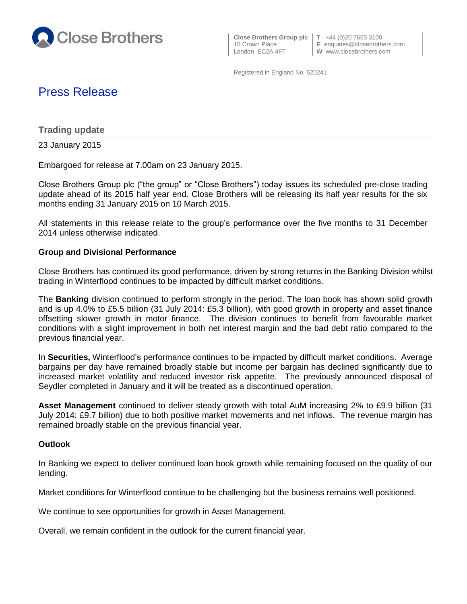

 **Close Brothers Group plc T** +44 (0)20 7655 3100 London EC2A 4FT **W** www.closebrothers.com

10 Crown Place **E** enquiries@closebrothers.com

Registered in England No. 520241

# Press Release

**Trading update**

23 January 2015

Embargoed for release at 7.00am on 23 January 2015.

Close Brothers Group plc ("the group" or "Close Brothers") today issues its scheduled pre-close trading update ahead of its 2015 half year end. Close Brothers will be releasing its half year results for the six months ending 31 January 2015 on 10 March 2015.

All statements in this release relate to the group's performance over the five months to 31 December 2014 unless otherwise indicated.

## **Group and Divisional Performance**

Close Brothers has continued its good performance, driven by strong returns in the Banking Division whilst trading in Winterflood continues to be impacted by difficult market conditions.

The **Banking** division continued to perform strongly in the period. The loan book has shown solid growth and is up 4.0% to £5.5 billion (31 July 2014: £5.3 billion), with good growth in property and asset finance offsetting slower growth in motor finance. The division continues to benefit from favourable market conditions with a slight improvement in both net interest margin and the bad debt ratio compared to the previous financial year.

In **Securities,** Winterflood's performance continues to be impacted by difficult market conditions. Average bargains per day have remained broadly stable but income per bargain has declined significantly due to increased market volatility and reduced investor risk appetite. The previously announced disposal of Seydler completed in January and it will be treated as a discontinued operation.

**Asset Management** continued to deliver steady growth with total AuM increasing 2% to £9.9 billion (31 July 2014: £9.7 billion) due to both positive market movements and net inflows. The revenue margin has remained broadly stable on the previous financial year.

## **Outlook**

In Banking we expect to deliver continued loan book growth while remaining focused on the quality of our lending.

Market conditions for Winterflood continue to be challenging but the business remains well positioned.

We continue to see opportunities for growth in Asset Management.

Overall, we remain confident in the outlook for the current financial year.